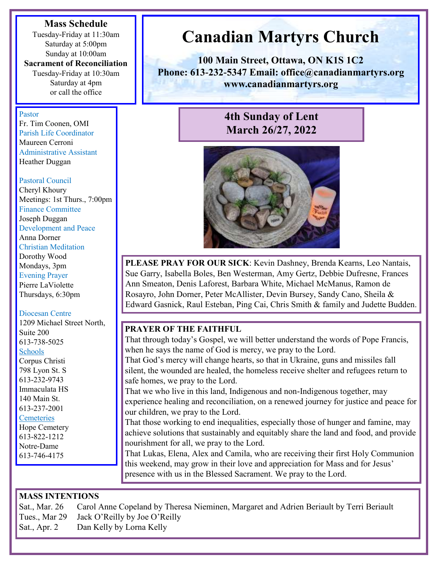#### **Mass Schedule**

Tuesday-Friday at 11:30am Saturday at 5:00pm Sunday at 10:00am

**Sacrament of Reconciliation**  Tuesday-Friday at 10:30am Saturday at 4pm

or call the office

#### Pastor

Fr. Tim Coonen, OMI Parish Life Coordinator Maureen Cerroni Administrative Assistant Heather Duggan

#### Pastoral Council

Cheryl Khoury Meetings: 1st Thurs., 7:00pm Finance Committee Joseph Duggan Development and Peace Anna Dorner Christian Meditation Dorothy Wood Mondays, 3pm Evening Prayer Pierre LaViolette Thursdays, 6:30pm

#### Diocesan Centre

1209 Michael Street North, Suite 200 613-738-5025 Schools Corpus Christi 798 Lyon St. S 613-232-9743 Immaculata HS 140 Main St. 613-237-2001 **Cemeteries** 

Hope Cemetery 613-822-1212 Notre-Dame 613-746-4175

# **Canadian Martyrs Church**

**100 Main Street, Ottawa, ON K1S 1C2 Phone: 613-232-5347 Email: office@canadianmartyrs.org www.canadianmartyrs.org**

# **4th Sunday of Lent March 26/27, 2022**



**PLEASE PRAY FOR OUR SICK**: Kevin Dashney, Brenda Kearns, Leo Nantais, Sue Garry, Isabella Boles, Ben Westerman, Amy Gertz, Debbie Dufresne, Frances Ann Smeaton, Denis Laforest, Barbara White, Michael McManus, Ramon de Rosayro, John Dorner, Peter McAllister, Devin Bursey, Sandy Cano, Sheila & Edward Gasnick, Raul Esteban, Ping Cai, Chris Smith & family and Judette Budden.

# **PRAYER OF THE FAITHFUL**

That through today's Gospel, we will better understand the words of Pope Francis, when he says the name of God is mercy, we pray to the Lord. That God's mercy will change hearts, so that in Ukraine, guns and missiles fall silent, the wounded are healed, the homeless receive shelter and refugees return to safe homes, we pray to the Lord. That we who live in this land, Indigenous and non-Indigenous together, may experience healing and reconciliation, on a renewed journey for justice and peace for our children, we pray to the Lord. That those working to end inequalities, especially those of hunger and famine, may achieve solutions that sustainably and equitably share the land and food, and provide nourishment for all, we pray to the Lord.

That Lukas, Elena, Alex and Camila, who are receiving their first Holy Communion this weekend, may grow in their love and appreciation for Mass and for Jesus' presence with us in the Blessed Sacrament. We pray to the Lord.

## **MASS INTENTIONS**

Sat., Mar. 26 Carol Anne Copeland by Theresa Nieminen, Margaret and Adrien Beriault by Terri Beriault Tues., Mar 29 Jack O'Reilly by Joe O'Reilly Sat., Apr. 2 Dan Kelly by Lorna Kelly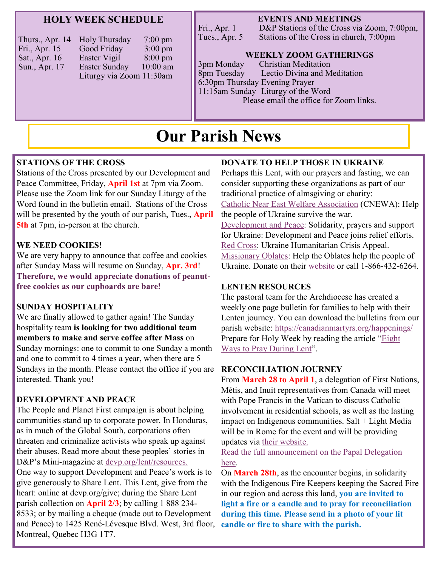#### **HOLY WEEK SCHEDULE**

| Thurs., Apr. 14 | Holy Thursday            | $7:00 \text{ pm}$ |
|-----------------|--------------------------|-------------------|
| Fri., Apr. 15   | Good Friday              | $3:00 \text{ pm}$ |
| Sat., Apr. 16   | Easter Vigil             | $8:00 \text{ pm}$ |
| Sun., Apr. 17   | Easter Sunday            | $10:00$ am        |
|                 | Liturgy via Zoom 11:30am |                   |

#### **EVENTS AND MEETINGS**

Fri., Apr. 1 D&P Stations of the Cross via Zoom, 7:00pm,<br>Tues., Apr. 5 Stations of the Cross in church, 7:00pm Stations of the Cross in church, 7:00pm

#### **WEEKLY ZOOM GATHERINGS**

3pm Monday Christian Meditation 8pm Tuesday Lectio Divina and Meditation 6:30pm Thursday Evening Prayer 11:15am Sunday Liturgy of the Word Please email the office for Zoom links.

# **Our Parish News**

#### **STATIONS OF THE CROSS**

Stations of the Cross presented by our Development and Peace Committee, Friday, **April 1st** at 7pm via Zoom. Please use the Zoom link for our Sunday Liturgy of the Word found in the bulletin email. Stations of the Cross will be presented by the youth of our parish, Tues., **April 5th** at 7pm, in-person at the church.

#### **WE NEED COOKIES!**

We are very happy to announce that coffee and cookies after Sunday Mass will resume on Sunday, **Apr. 3rd**! **Therefore, we would appreciate donations of peanutfree cookies as our cupboards are bare!** 

#### **SUNDAY HOSPITALITY**

We are finally allowed to gather again! The Sunday hospitality team **is looking for two additional team members to make and serve coffee after Mass** on Sunday mornings: one to commit to one Sunday a month and one to commit to 4 times a year, when there are 5 Sundays in the month. Please contact the office if you are interested. Thank you!

#### **DEVELOPMENT AND PEACE**

The People and Planet First campaign is about helping communities stand up to corporate power. In Honduras, as in much of the Global South, corporations often threaten and criminalize activists who speak up against their abuses. Read more about these peoples' stories in D&P's Mini-magazine at [devp.org/lent/resources.](https://www.devp.org/en/campaign/people-planet-first/share-lent/resources/) One way to support Development and Peace's work is to give generously to Share Lent. This Lent, give from the heart: online at devp.org/give; during the Share Lent parish collection on **April 2/3**; by calling 1 888 234- 8533; or by mailing a cheque (made out to Development and Peace) to 1425 René-Lévesque Blvd. West, 3rd floor, Montreal, Quebec H3G 1T7.

#### **DONATE TO HELP THOSE IN UKRAINE**

Perhaps this Lent, with our prayers and fasting, we can consider supporting these organizations as part of our traditional practice of almsgiving or charity: [Catholic Near East Welfare Association](https://cnewa.org/ca/campaigns/ukraine/) (CNEWA): Help the people of Ukraine survive the war. [Development and Peace:](https://www2.devp.org/en/civicrm/contribute/transact?reset=1&id=3&gl=24360) Solidarity, prayers and support for Ukraine: Development and Peace joins relief efforts. [Red Cross:](https://www.redcross.ca/about-us/media-news/news-releases/red-cross-launches-ukraine-humanitarian-crisis-appeal) Ukraine Humanitarian Crisis Appeal. [Missionary Oblates:](http://www.omilacombe.ca/mami/donations) Help the Oblates help the people of Ukraine. Donate on their [website](http://www.omilacombe.ca/mami/donations) or call 1-866-432-6264.

#### **LENTEN RESOURCES**

The pastoral team for the Archdiocese has created a weekly one page bulletin for families to help with their Lenten journey. You can download the bulletins from our parish website:<https://canadianmartyrs.org/happenings/> Prepare for Holy Week by reading the article "[Eight](https://www.loyolapress.com/catholic-resources/liturgical-year/lent/perspectives-on-lent/articles/8-ways-to-pray-during-lent/)  [Ways to Pray During Lent"](https://www.loyolapress.com/catholic-resources/liturgical-year/lent/perspectives-on-lent/articles/8-ways-to-pray-during-lent/).

#### **RECONCILIATION JOURNEY**

From **March 28 to April 1**, a delegation of First Nations, Métis, and Inuit representatives from Canada will meet with Pope Francis in the Vatican to discuss Catholic involvement in residential schools, as well as the lasting impact on Indigenous communities. Salt + Light Media will be in Rome for the event and will be providing updates via [their website.](https://slmedia.org/healing-reconciliation-journey)

[Read the full announcement](https://en.archoc.ca/papal-delegation) on the Papal Delegation [here.](https://en.archoc.ca/papal-delegation)

On **March 28th**, as the encounter begins, in solidarity with the Indigenous Fire Keepers keeping the Sacred Fire in our region and across this land, **you are invited to light a fire or a candle and to pray for reconciliation during this time. Please send in a photo of your lit candle or fire to share with the parish.**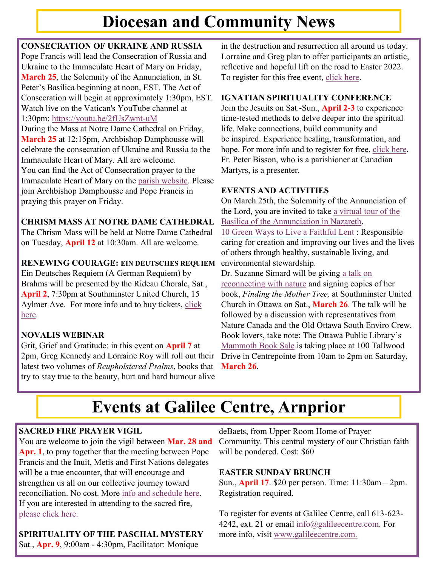# **Diocesan and Community News**

# **CONSECRATION OF UKRAINE AND RUSSIA**

Pope Francis will lead the Consecration of Russia and Ukraine to the Immaculate Heart of Mary on Friday, **March 25**, the Solemnity of the Annunciation, in St. Peter's Basilica beginning at noon, EST. The Act of Consecration will begin at approximately 1:30pm, EST. Watch live on the Vatican's YouTube channel at 1:30pm: <https://youtu.be/2fUsZwnt-uM>

During the Mass at Notre Dame Cathedral on Friday, **March 25** at 12:15pm, Archbishop Damphousse will celebrate the consecration of Ukraine and Russia to the Immaculate Heart of Mary. All are welcome. You can find the Act of Consecration prayer to the Immaculate Heart of Mary on the [parish website.](https://canadianmartyrs.org/happenings/) Please join Archbishop Damphousse and Pope Francis in praying this prayer on Friday.

# **CHRISM MASS AT NOTRE DAME CATHEDRAL**

The Chrism Mass will be held at Notre Dame Cathedral on Tuesday, **April 12** at 10:30am. All are welcome.

## **RENEWING COURAGE: EIN DEUTSCHES REQUIEM**

Ein Deutsches Requiem (A German Requiem) by Brahms will be presented by the Rideau Chorale, Sat., **April 2**, 7:30pm at Southminster United Church, 15 Aylmer Ave. For more info and to buy tickets, [click](https://rideauchorale.com/concerts/current-season/)  [here.](https://rideauchorale.com/concerts/current-season/)

# **NOVALIS WEBINAR**

Grit, Grief and Gratitude: in this event on **April 7** at 2pm, Greg Kennedy and Lorraine Roy will roll out their latest two volumes of *Reupholstered Psalms*, books that try to stay true to the beauty, hurt and hard humour alive

in the destruction and resurrection all around us today. Lorraine and Greg plan to offer participants an artistic, reflective and hopeful lift on the road to Easter 2022. To register for this free event, [click here.](https://us02web.zoom.us/webinar/register/WN_nb_HJo2zQ7WXFLV74DFDog)

# **IGNATIAN SPIRITUALITY CONFERENCE**

Join the Jesuits on Sat.-Sun., **April 2-3** to experience time-tested methods to delve deeper into the spiritual life. Make connections, build community and be inspired. Experience healing, transformation, and hope. For more info and to register for free, [click here.](https://ignatienne-ignatian.vfairs.com/en/) Fr. Peter Bisson, who is a parishioner at Canadian Martyrs, is a presenter.

## **EVENTS AND ACTIVITIES**

On March 25th, the Solemnity of the Annunciation of the Lord, you are invited to take [a virtual tour of the](https://www.seetheholyland.net/church-of-the-annunciation/)  [Basilica of the Annunciation in Nazareth.](https://www.seetheholyland.net/church-of-the-annunciation/) [10 Green Ways to Live a Faithful Lent](https://christiangreenliving.com/10-faithful-ways-to-live-a-green-lent-with-prayer-fasting-almsgiving/?utm_source=newsletter&utm_medium=email&utm_campaign=helpful_green_ways_to_live_a_faithful_lent&utm_term=2022-03-03) : Responsible caring for creation and improving our lives and the lives of others through healthy, sustainable living, and environmental stewardship.

Dr. Suzanne Simard will be giving a [talk on](https://www.eventbrite.ca/e/finding-the-mother-tree-a-public-talk-and-discussion-tickets-274789852847)  [reconnecting with nature](https://www.eventbrite.ca/e/finding-the-mother-tree-a-public-talk-and-discussion-tickets-274789852847) and signing copies of her book, *Finding the Mother Tree,* at Southminster United Church in Ottawa on Sat., **March 26**. The talk will be followed by a discussion with representatives from Nature Canada and the Old Ottawa South Enviro Crew. Book lovers, take note: The Ottawa Public Library's [Mammoth Book Sale](https://www.facebook.com/events/698066931562120/?acontext=%7B%22event_action_history%22%3A%5b%7B%22mechanism%22%3A%22discovery_top_tab%22%2C%22surface%22%3A%22bookmark%22%7D%5d%2C%22ref_notif_type%22%3Anull%7D) is taking place at 100 Tallwood Drive in Centrepointe from 10am to 2pm on Saturday, **March 26**.

# **Events at Galilee Centre, Arnprior**

# **SACRED FIRE PRAYER VIGIL**

You are welcome to join the vigil between **Mar. 28 and Apr. 1**, to pray together that the meeting between Pope Francis and the Inuit, Metis and First Nations delegates will be a true encounter, that will encourage and strengthen us all on our collective journey toward reconciliation. No cost. More [info and schedule here.](https://www.galileecentre.com/sacred-fire-prayer-vigil-march-28-to-april-1-2022/)  If you are interested in attending to the sacred fire, [please click here.](https://www.signupgenius.com/go/5080c4faaaf23a75-march)

**SPIRITUALITY OF THE PASCHAL MYSTERY**

deBaets, from Upper Room Home of Prayer Community. This central mystery of our Christian faith will be pondered. Cost: \$60

## **EASTER SUNDAY BRUNCH**

Sun., **April 17**. \$20 per person. Time: 11:30am – 2pm. Registration required.

To register for events at Galilee Centre, call 613-623 4242, ext. 21 or email [info@galileecentre.com.](mailto:info@galileecentre.com) For more info, visit [www.galileecentre.com.](https://www.galileecentre.com/)

Sat., **Apr. 9**, 9:00am - 4:30pm, Facilitator: Monique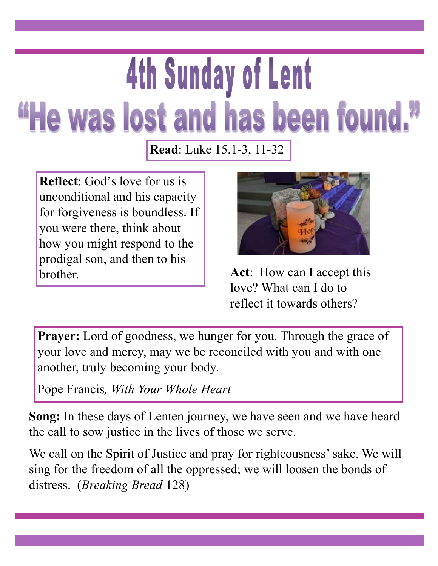# **4th Sunday of Lent** "He was lost and has been found."

**Read**: Luke 15.1-3, 11-32

**Reflect**: God's love for us is unconditional and his capacity for forgiveness is boundless. If you were there, think about how you might respond to the prodigal son, and then to his brother.



**Act**: How can I accept this love? What can I do to reflect it towards others?

Prayer: Lord of goodness, we hunger for you. Through the grace of your love and mercy, may we be reconciled with you and with one another, truly becoming your body.

Pope Francis*, With Your Whole Heart*

**Song:** In these days of Lenten journey, we have seen and we have heard the call to sow justice in the lives of those we serve.

We call on the Spirit of Justice and pray for righteousness' sake. We will sing for the freedom of all the oppressed; we will loosen the bonds of distress. (*Breaking Bread* 128)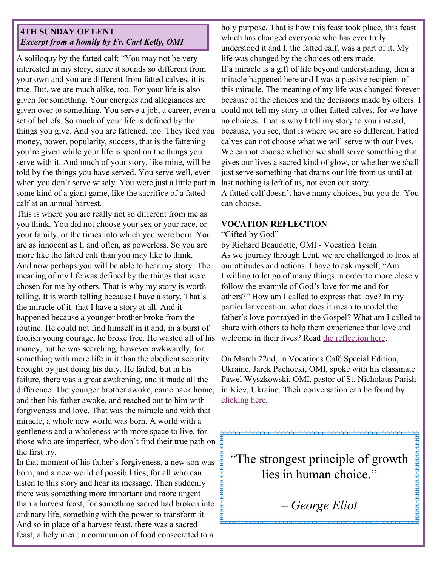### **4TH SUNDAY OF LENT** *Excerpt from a homily by Fr. Carl Kelly, OMI*

A soliloquy by the fatted calf: "You may not be very interested in my story, since it sounds so different from your own and you are different from fatted calves, it is true. But, we are much alike, too. For your life is also given for something. Your energies and allegiances are given over to something. You serve a job, a career, even a set of beliefs. So much of your life is defined by the things you give. And you are fattened, too. They feed you money, power, popularity, success, that is the fattening you're given while your life is spent on the things you serve with it. And much of your story, like mine, will be told by the things you have served. You serve well, even when you don't serve wisely. You were just a little part in some kind of a giant game, like the sacrifice of a fatted calf at an annual harvest.

This is where you are really not so different from me as you think. You did not choose your sex or your race, or your family, or the times into which you were born. You are as innocent as I, and often, as powerless. So you are more like the fatted calf than you may like to think. And now perhaps you will be able to hear my story: The meaning of my life was defined by the things that were chosen for me by others. That is why my story is worth telling. It is worth telling because I have a story. That's the miracle of it: that I have a story at all. And it happened because a younger brother broke from the routine. He could not find himself in it and, in a burst of foolish young courage, he broke free. He wasted all of his money, but he was searching, however awkwardly, for something with more life in it than the obedient security brought by just doing his duty. He failed, but in his failure, there was a great awakening, and it made all the difference. The younger brother awoke, came back home, and then his father awoke, and reached out to him with forgiveness and love. That was the miracle and with that miracle, a whole new world was born. A world with a gentleness and a wholeness with more space to live, for those who are imperfect, who don't find their true path on the first try.

In that moment of his father's forgiveness, a new son was born, and a new world of possibilities, for all who can listen to this story and hear its message. Then suddenly there was something more important and more urgent than a harvest feast, for something sacred had broken into ordinary life, something with the power to transform it. And so in place of a harvest feast, there was a sacred feast; a holy meal; a communion of food consecrated to a

holy purpose. That is how this feast took place, this feast which has changed everyone who has ever truly understood it and I, the fatted calf, was a part of it. My life was changed by the choices others made. If a miracle is a gift of life beyond understanding, then a miracle happened here and I was a passive recipient of this miracle. The meaning of my life was changed forever because of the choices and the decisions made by others. I could not tell my story to other fatted calves, for we have no choices. That is why I tell my story to you instead, because, you see, that is where we are so different. Fatted calves can not choose what we will serve with our lives. We cannot choose whether we shall serve something that gives our lives a sacred kind of glow, or whether we shall just serve something that drains our life from us until at last nothing is left of us, not even our story.

A fatted calf doesn't have many choices, but you do. You can choose.

#### **VOCATION REFLECTION**

#### "Gifted by God"

by Richard Beaudette, OMI - Vocation Team As we journey through Lent, we are challenged to look at our attitudes and actions. I have to ask myself, "Am I willing to let go of many things in order to more closely follow the example of God's love for me and for others?" How am I called to express that love? In my particular vocation, what does it mean to model the father's love portrayed in the Gospel? What am I called to share with others to help them experience that love and welcome in their lives? Read [the reflection here.](https://omilacombe.ca/become-an-oblate/) 

On March 22nd, in Vocations Café Special Edition, Ukraine, Jarek Pachocki, OMI, spoke with his classmate Pawel Wyszkowski, OMI, pastor of St. Nicholaus Parish in Kiev, Ukraine. Their conversation can be found by [clicking here.](https://www.youtube.com/watch?v=R76Lk_c48LA)

"The strongest principle of growth lies in human choice."

**HHHHHHHHHHHHHHH** 

*– George Eliot*